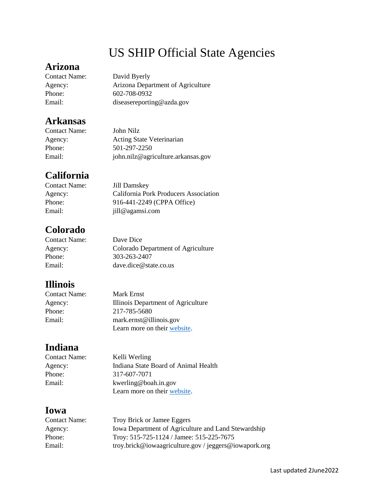# US SHIP Official State Agencies

## **Arizona**

Contact Name: David Byerly

Agency: Arizona Department of Agriculture Phone: 602-708-0932 Email: [diseasereporting@azda.gov](mailto:diseasereporting@azda.gov)

## **Arkansas**

Contact Name: John Nilz Agency: Acting State Veterinarian Phone: 501-297-2250 Email: [john.nilz@agriculture.arkansas.gov](mailto:john.nilz@agriculture.arkansas.gov)

## **California**

Contact Name: Jill Damskey Agency: California Pork Producers Association Phone: 916-441-2249 (CPPA Office) Email: [jill@agamsi.com](mailto:jill@agamsi.com)

## **Colorado**

| Colorado Department of Agriculture |
|------------------------------------|
|                                    |
|                                    |
|                                    |

## **Illinois**

| Contact Name: | Mark Ernst                         |
|---------------|------------------------------------|
| Agency:       | Illinois Department of Agriculture |
| Phone:        | 217-785-5680                       |
| Email:        | mark.ernst@illinois.gov            |
|               | Learn more on their website.       |

## **Indiana**

Contact Name: Kelli Werling Agency: Indiana State Board of Animal Health Phone: 317-607-7071 Email: [kwerling@boah.in.gov](mailto:kwerling@boah.in.gov) Learn more on their [website.](https://www.in.gov/boah/species-information/swinepigs/securing-indianas-pork-supply/swine-health-improvement-plan-ship/)

# **Iowa**

| <b>Contact Name:</b> | Troy Brick or Jamee Eggers                            |
|----------------------|-------------------------------------------------------|
| Agency:              | Iowa Department of Agriculture and Land Stewardship   |
| Phone:               | Troy: 515-725-1124 / Jamee: 515-225-7675              |
| Email:               | troy.brick@iowaagriculture.gov / jeggers@iowapork.org |
|                      |                                                       |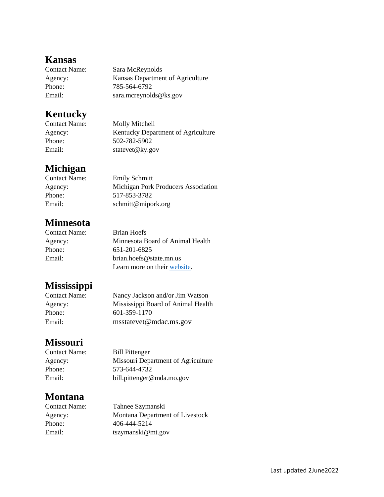#### **Kansas**

| Sara McReynolds                  |
|----------------------------------|
| Kansas Department of Agriculture |
| 785-564-6792                     |
| sara.mcreynolds@ks.gov           |
|                                  |

#### **Kentucky**

Phone: 502-782-5902

Contact Name: Molly Mitchell Agency: Kentucky Department of Agriculture Email: [statevet@ky.gov](mailto:statevet@ky.gov)

# **Michigan**

Contact Name: Emily Schmitt Agency: Michigan Pork Producers Association Phone: 517-853-3782 Email: [schmitt@mipork.org](mailto:schmitt@mipork.org)

## **Minnesota**

Contact Name: Brian Hoefs Agency: Minnesota Board of Animal Health Phone: 651-201-6825 Email: [brian.hoefs@state.mn.us](mailto:brian.hoefs@state.mn.us) Learn more on their [website.](https://www.bah.state.mn.us/swine/#swine-health-improvement-plan-ship)

# **Mississippi**

| <b>Contact Name:</b> | Nancy Jackson and/or Jim Watson    |
|----------------------|------------------------------------|
| Agency:              | Mississippi Board of Animal Health |
| Phone:               | 601-359-1170                       |
| Email:               | msstatevet@mdac.ms.gov             |

## **Missouri**

Contact Name: Bill Pittenger Agency: Missouri Department of Agriculture Phone: 573-644-4732 Email: [bill.pittenger@mda.mo.gov](mailto:bill.pittenger@mda.mo.gov)

## **Montana**

Contact Name: Tahnee Szymanski Agency: Montana Department of Livestock Phone: 406-444-5214 Email: [tszymanski@mt.gov](mailto:tszymanski@mt.gov)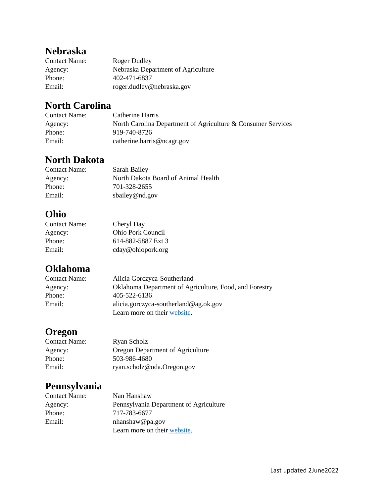# **Nebraska**

| <b>Contact Name:</b> | Roger Dudley                       |
|----------------------|------------------------------------|
| Agency:              | Nebraska Department of Agriculture |
| Phone:               | 402-471-6837                       |
| Email:               | roger.dudley@nebraska.gov          |

## **North Carolina**

| <b>Contact Name:</b> | Catherine Harris                                             |
|----------------------|--------------------------------------------------------------|
| Agency:              | North Carolina Department of Agriculture & Consumer Services |
| Phone:               | 919-740-8726                                                 |
| Email:               | catherine.harris@ncagr.gov                                   |

# **North Dakota**

| <b>Contact Name:</b> | Sarah Bailey                        |
|----------------------|-------------------------------------|
| Agency:              | North Dakota Board of Animal Health |
| Phone:               | 701-328-2655                        |
| Email:               | sbailey@nd.gov                      |

## **Ohio**

| <b>Contact Name:</b> | Cheryl Day               |
|----------------------|--------------------------|
| Agency:              | <b>Ohio Pork Council</b> |
| Phone:               | 614-882-5887 Ext 3       |
| Email:               | cday@ohiopork.org        |

## **Oklahoma**

| <b>Contact Name:</b> | Alicia Gorczyca-Southerland                            |
|----------------------|--------------------------------------------------------|
| Agency:              | Oklahoma Department of Agriculture, Food, and Forestry |
| Phone:               | 405-522-6136                                           |
| Email:               | alicia.gorczyca-southerland@ag.ok.gov                  |
|                      | Learn more on their website.                           |

# **Oregon**

| <b>Contact Name:</b> | Ryan Scholz                      |
|----------------------|----------------------------------|
| Agency:              | Oregon Department of Agriculture |
| Phone:               | 503-986-4680                     |
| Email:               | ryan.scholz@oda.Oregon.gov       |

# **Pennsylvania**

| <b>Contact Name:</b> | Nan Hanshaw                            |
|----------------------|----------------------------------------|
| Agency:              | Pennsylvania Department of Agriculture |
| Phone:               | 717-783-6677                           |
| Email:               | $n$ hanshaw@pa.gov                     |
|                      | Learn more on their website.           |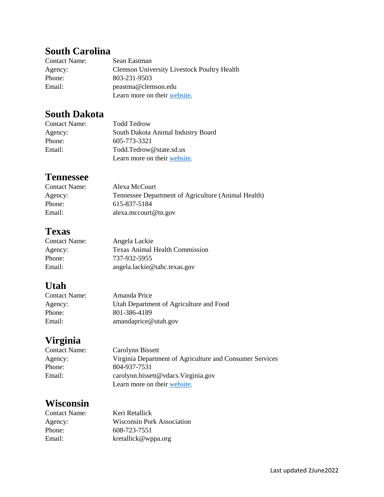# **South Carolina**

| <b>Contact Name:</b> | Sean Eastman                                       |
|----------------------|----------------------------------------------------|
| Agency:              | <b>Clemson University Livestock Poultry Health</b> |
| Phone:               | 803-231-9503                                       |
| Email:               | peastma@clemson.edu                                |
|                      | Learn more on their website.                       |

# **South Dakota**

| <b>Contact Name:</b> | <b>Todd Tedrow</b>                 |
|----------------------|------------------------------------|
| Agency:              | South Dakota Animal Industry Board |
| Phone:               | 605-773-3321                       |
| Email:               | Todd.Tedrow@state.sd.us            |
|                      | Learn more on their website.       |

#### **Tennessee**

| <b>Contact Name:</b> | Alexa McCourt                                       |
|----------------------|-----------------------------------------------------|
| Agency:              | Tennessee Department of Agriculture (Animal Health) |
| Phone:               | 615-837-5184                                        |
| Email:               | alexa.mccourt@tn.gov                                |

## **Texas**

| <b>Contact Name:</b> | Angela Lackie                         |
|----------------------|---------------------------------------|
| Agency:              | <b>Texas Animal Health Commission</b> |
| Phone:               | 737-932-5955                          |
| Email:               | angela.lackie@tahc.texas.gov          |

# **Utah**

| <b>Contact Name:</b> | Amanda Price                            |
|----------------------|-----------------------------------------|
| Agency:              | Utah Department of Agriculture and Food |
| Phone:               | 801-386-4189                            |
| Email:               | amandaprice@utah.gov                    |

# **Virginia**

| Contact Name: | Carolynn Bissett                                         |
|---------------|----------------------------------------------------------|
| Agency:       | Virginia Department of Agriculture and Consumer Services |
| Phone:        | 804-937-7531                                             |
| Email:        | cardynn.bissett@vdacs.Virginia.gov                       |
|               | Learn more on their website.                             |

## **Wisconsin**

| Contact Name: | Keri Retallick                    |
|---------------|-----------------------------------|
| Agency:       | <b>Wisconsin Pork Association</b> |
| Phone:        | 608-723-7551                      |
| Email:        | kretallick@wppa.org               |
|               |                                   |